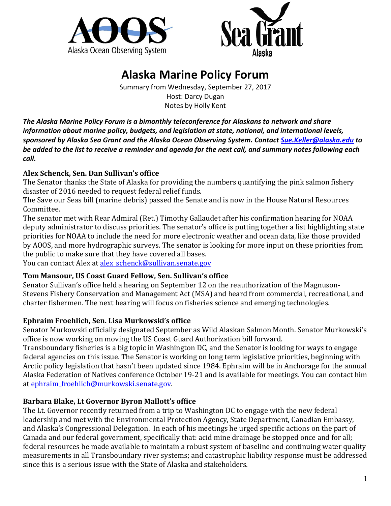



# **Alaska Marine Policy Forum**

Summary from Wednesday, September 27, 2017 Host: Darcy Dugan Notes by Holly Kent

*The Alaska Marine Policy Forum is a bimonthly teleconference for Alaskans to network and share information about marine policy, budgets, and legislation at state, national, and international levels, sponsored by Alaska Sea Grant and the Alaska Ocean Observing System. Contac[t Sue.Keller@alaska.edu](mailto:Sue.Keller@alaska.edu) to be added to the list to receive a reminder and agenda for the next call, and summary notes following each call.*

## **Alex Schenck, Sen. Dan Sullivan's office**

The Senator thanks the State of Alaska for providing the numbers quantifying the pink salmon fishery disaster of 2016 needed to request federal relief funds.

The Save our Seas bill (marine debris) passed the Senate and is now in the House Natural Resources Committee.

The senator met with Rear Admiral (Ret.) Timothy Gallaudet after his confirmation hearing for NOAA deputy administrator to discuss priorities. The senator's office is putting together a list highlighting state priorities for NOAA to include the need for more electronic weather and ocean data, like those provided by AOOS, and more hydrographic surveys. The senator is looking for more input on these priorities from the public to make sure that they have covered all bases.

You can contact Alex at alex schenck@sullivan.senate.gov

#### **Tom Mansour, US Coast Guard Fellow, Sen. Sullivan's office**

Senator Sullivan's office held a hearing on September 12 on the reauthorization of the Magnuson-Stevens Fishery Conservation and Management Act (MSA) and heard from commercial, recreational, and charter fishermen. The next hearing will focus on fisheries science and emerging technologies.

# **Ephraim Froehlich, Sen. Lisa Murkowski's office**

Senator Murkowski officially designated September as Wild Alaskan Salmon Month. Senator Murkowski's office is now working on moving the US Coast Guard Authorization bill forward.

Transboundary fisheries is a big topic in Washington DC, and the Senator is looking for ways to engage federal agencies on this issue. The Senator is working on long term legislative priorities, beginning with Arctic policy legislation that hasn't been updated since 1984. Ephraim will be in Anchorage for the annual Alaska Federation of Natives conference October 19-21 and is available for meetings. You can contact him at [ephraim\\_froehlich@murkowski.senate.gov.](mailto:ephraim_froehlich@murkowski.senate.gov)

# **Barbara Blake, Lt Governor Byron Mallott's office**

The Lt. Governor recently returned from a trip to Washington DC to engage with the new federal leadership and met with the Environmental Protection Agency, State Department, Canadian Embassy, and Alaska's Congressional Delegation. In each of his meetings he urged specific actions on the part of Canada and our federal government, specifically that: acid mine drainage be stopped once and for all; federal resources be made available to maintain a robust system of baseline and continuing water quality measurements in all Transboundary river systems; and catastrophic liability response must be addressed since this is a serious issue with the State of Alaska and stakeholders.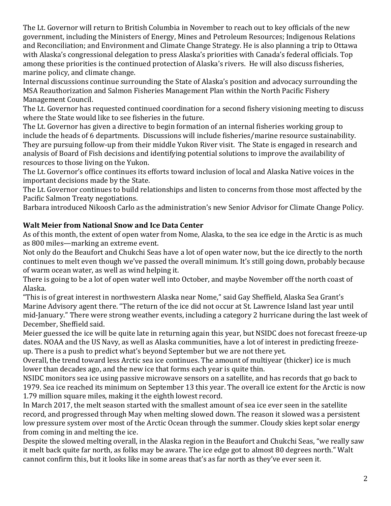The Lt. Governor will return to British Columbia in November to reach out to key officials of the new government, including the Ministers of Energy, Mines and Petroleum Resources; Indigenous Relations and Reconciliation; and Environment and Climate Change Strategy. He is also planning a trip to Ottawa with Alaska's congressional delegation to press Alaska's priorities with Canada's federal officials. Top among these priorities is the continued protection of Alaska's rivers. He will also discuss fisheries, marine policy, and climate change.

Internal discussions continue surrounding the State of Alaska's position and advocacy surrounding the MSA Reauthorization and Salmon Fisheries Management Plan within the North Pacific Fishery Management Council.

The Lt. Governor has requested continued coordination for a second fishery visioning meeting to discuss where the State would like to see fisheries in the future.

The Lt. Governor has given a directive to begin formation of an internal fisheries working group to include the heads of 6 departments. Discussions will include fisheries/marine resource sustainability. They are pursuing follow-up from their middle Yukon River visit. The State is engaged in research and analysis of Board of Fish decisions and identifying potential solutions to improve the availability of resources to those living on the Yukon.

The Lt. Governor's office continues its efforts toward inclusion of local and Alaska Native voices in the important decisions made by the State.

The Lt. Governor continues to build relationships and listen to concerns from those most affected by the Pacific Salmon Treaty negotiations.

Barbara introduced Nikoosh Carlo as the administration's new Senior Advisor for Climate Change Policy.

## **Walt Meier from National Snow and Ice Data Center**

As of this month, the extent of open water from Nome, Alaska, to the sea ice edge in the Arctic is as much as 800 miles—marking an extreme event.

Not only do the Beaufort and Chukchi Seas have a lot of open water now, but the ice directly to the north continues to melt even though we've passed the overall minimum. It's still going down, probably because of warm ocean water, as well as wind helping it.

There is going to be a lot of open water well into October, and maybe November off the north coast of Alaska.

"This is of great interest in northwestern Alaska near Nome," said Gay Sheffield, Alaska Sea Grant's Marine Advisory agent there. "The return of the ice did not occur at St. Lawrence Island last year until mid-January." There were strong weather events, including a category 2 hurricane during the last week of December, Sheffield said.

Meier guessed the ice will be quite late in returning again this year, but NSIDC does not forecast freeze-up dates. NOAA and the US Navy, as well as Alaska communities, have a lot of interest in predicting freezeup. There is a push to predict what's beyond September but we are not there yet.

Overall, the trend toward less Arctic sea ice continues. The amount of multiyear (thicker) ice is much lower than decades ago, and the new ice that forms each year is quite thin.

NSIDC monitors sea ice using passive microwave sensors on a satellite, and has records that go back to 1979. Sea ice reached its minimum on September 13 this year. The overall ice extent for the Arctic is now 1.79 million square miles, making it the eighth lowest record.

In March 2017, the melt season started with the smallest amount of sea ice ever seen in the satellite record, and progressed through May when melting slowed down. The reason it slowed was a persistent low pressure system over most of the Arctic Ocean through the summer. Cloudy skies kept solar energy from coming in and melting the ice.

Despite the slowed melting overall, in the Alaska region in the Beaufort and Chukchi Seas, "we really saw it melt back quite far north, as folks may be aware. The ice edge got to almost 80 degrees north." Walt cannot confirm this, but it looks like in some areas that's as far north as they've ever seen it.